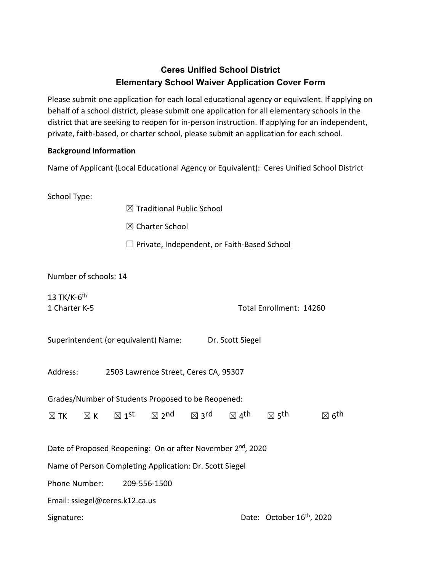# **Ceres Unified School District Elementary School Waiver Application Cover Form**

Please submit one application for each local educational agency or equivalent. If applying on behalf of a school district, please submit one application for all elementary schools in the district that are seeking to reopen for in-person instruction. If applying for an independent, private, faith-based, or charter school, please submit an application for each school.

## **Background Information**

Name of Applicant (Local Educational Agency or Equivalent): Ceres Unified School District

School Type:

 $\boxtimes$  Traditional Public School

☒ Charter School

 $\Box$  Private, Independent, or Faith-Based School

Number of schools: 14

13 TK/K- $6<sup>th</sup>$ 

1 Charter K-5 Total Enrollment: 14260

|  | Superintendent (or equivalent) Name: |  | Dr. Scott Siegel |
|--|--------------------------------------|--|------------------|
|--|--------------------------------------|--|------------------|

Address: 2503 Lawrence Street, Ceres CA, 95307

Grades/Number of Students Proposed to be Reopened:

|  |  |  | $\boxtimes$ TK $\boxtimes$ K $\boxtimes$ 1 <sup>st</sup> $\boxtimes$ 2 <sup>nd</sup> $\boxtimes$ 3 <sup>rd</sup> $\boxtimes$ 4 <sup>th</sup> $\boxtimes$ 5 <sup>th</sup> |  |  |  | $\boxtimes$ 6 <sup>th</sup> |
|--|--|--|--------------------------------------------------------------------------------------------------------------------------------------------------------------------------|--|--|--|-----------------------------|
|--|--|--|--------------------------------------------------------------------------------------------------------------------------------------------------------------------------|--|--|--|-----------------------------|

Date of Proposed Reopening: On or after November 2<sup>nd</sup>, 2020

Name of Person Completing Application: Dr. Scott Siegel

Phone Number: 209-556-1500

Email: ssiegel@ceres.k12.ca.us

Signature: Date: October 16<sup>th</sup>, 2020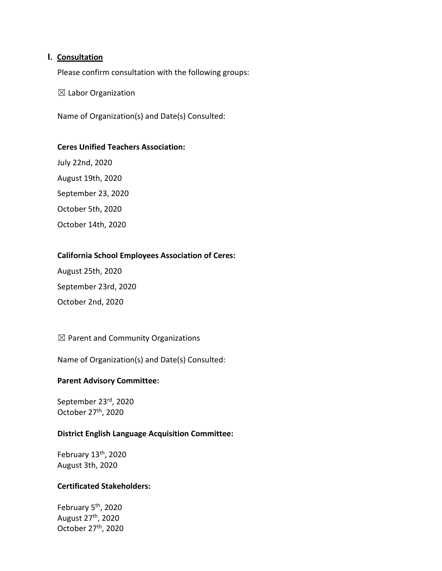#### **I. Consultation**

Please confirm consultation with the following groups:

 $\boxtimes$  Labor Organization

Name of Organization(s) and Date(s) Consulted:

#### **Ceres Unified Teachers Association:**

July 22nd, 2020 August 19th, 2020 September 23, 2020 October 5th, 2020 October 14th, 2020

#### **California School Employees Association of Ceres:**

August 25th, 2020 September 23rd, 2020 October 2nd, 2020

 $\boxtimes$  Parent and Community Organizations

Name of Organization(s) and Date(s) Consulted:

#### **Parent Advisory Committee:**

September 23rd, 2020 October 27th, 2020

#### **District English Language Acquisition Committee:**

February 13<sup>th</sup>, 2020 August 3th, 2020

#### **Certificated Stakeholders:**

February 5<sup>th</sup>, 2020 August 27th, 2020 October 27th, 2020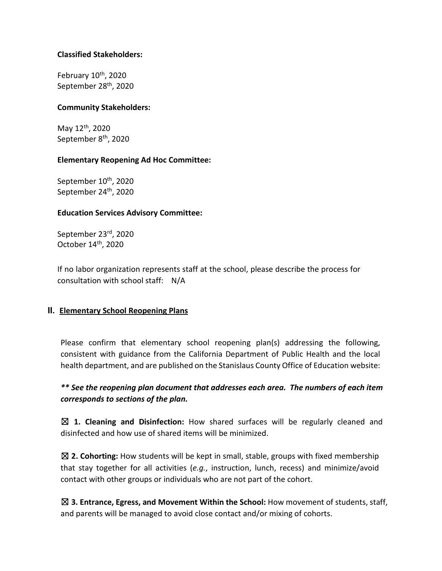#### **Classified Stakeholders:**

February  $10^{th}$ , 2020 September 28<sup>th</sup>, 2020

#### **Community Stakeholders:**

May 12th, 2020 September 8<sup>th</sup>, 2020

#### **Elementary Reopening Ad Hoc Committee:**

September 10<sup>th</sup>, 2020 September 24<sup>th</sup>, 2020

#### **Education Services Advisory Committee:**

September 23rd, 2020 October 14th, 2020

If no labor organization represents staff at the school, please describe the process for consultation with school staff: N/A

#### **II. Elementary School Reopening Plans**

Please confirm that elementary school reopening plan(s) addressing the following, consistent with guidance from the California Department of Public Health and the local health department, and are published on the Stanislaus County Office of Education website:

*\*\* See the reopening plan document that addresses each area. The numbers of each item corresponds to sections of the plan.*

☒ **1. Cleaning and Disinfection:** How shared surfaces will be regularly cleaned and disinfected and how use of shared items will be minimized.

☒ **2. Cohorting:** How students will be kept in small, stable, groups with fixed membership that stay together for all activities (*e.g.*, instruction, lunch, recess) and minimize/avoid contact with other groups or individuals who are not part of the cohort.

☒ **3. Entrance, Egress, and Movement Within the School:** How movement of students, staff, and parents will be managed to avoid close contact and/or mixing of cohorts.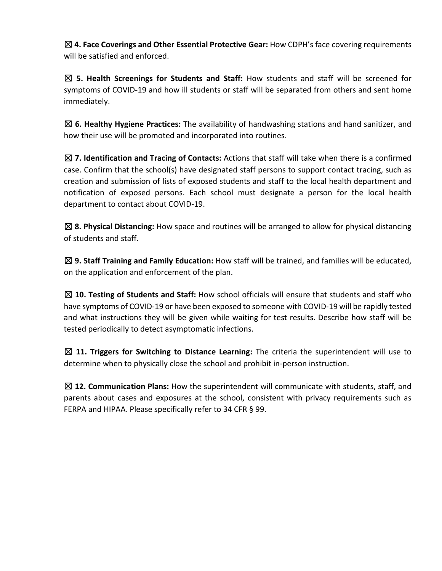☒ **4. Face Coverings and Other Essential Protective Gear:** How CDPH's face covering requirements will be satisfied and enforced.

☒ **5. Health Screenings for Students and Staff:** How students and staff will be screened for symptoms of COVID-19 and how ill students or staff will be separated from others and sent home immediately.

☒ **6. Healthy Hygiene Practices:** The availability of handwashing stations and hand sanitizer, and how their use will be promoted and incorporated into routines.

☒ **7. Identification and Tracing of Contacts:** Actions that staff will take when there is a confirmed case. Confirm that the school(s) have designated staff persons to support contact tracing, such as creation and submission of lists of exposed students and staff to the local health department and notification of exposed persons. Each school must designate a person for the local health department to contact about COVID-19.

☒ **8. Physical Distancing:** How space and routines will be arranged to allow for physical distancing of students and staff.

☒ **9. Staff Training and Family Education:** How staff will be trained, and families will be educated, on the application and enforcement of the plan.

☒ **10. Testing of Students and Staff:** How school officials will ensure that students and staff who have symptoms of COVID-19 or have been exposed to someone with COVID-19 will be rapidly tested and what instructions they will be given while waiting for test results. Describe how staff will be tested periodically to detect asymptomatic infections.

☒ **11. Triggers for Switching to Distance Learning:** The criteria the superintendent will use to determine when to physically close the school and prohibit in-person instruction.

☒ **12. Communication Plans:** How the superintendent will communicate with students, staff, and parents about cases and exposures at the school, consistent with privacy requirements such as FERPA and HIPAA. Please specifically refer to 34 CFR § 99.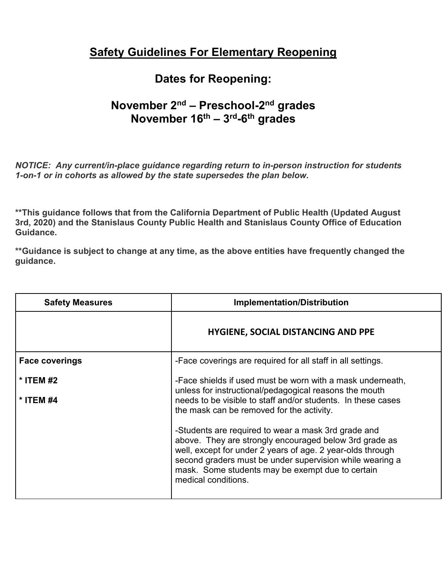# **Safety Guidelines For Elementary Reopening**

# **Dates for Reopening:**

# **November 2nd – Preschool-2nd grades November 16th – 3rd-6th grades**

*NOTICE: Any current/in-place guidance regarding return to in-person instruction for students 1-on-1 or in cohorts as allowed by the state supersedes the plan below.* 

**\*\*This guidance follows that from the California Department of Public Health (Updated August 3rd, 2020) and the Stanislaus County Public Health and Stanislaus County Office of Education Guidance.** 

**\*\*Guidance is subject to change at any time, as the above entities have frequently changed the guidance.** 

| <b>Safety Measures</b> | <b>Implementation/Distribution</b>                                                                                                                                                                                                                                                                                 |  |
|------------------------|--------------------------------------------------------------------------------------------------------------------------------------------------------------------------------------------------------------------------------------------------------------------------------------------------------------------|--|
|                        | <b>HYGIENE, SOCIAL DISTANCING AND PPE</b>                                                                                                                                                                                                                                                                          |  |
| <b>Face coverings</b>  | -Face coverings are required for all staff in all settings.                                                                                                                                                                                                                                                        |  |
| * ITEM #2<br>* ITEM #4 | -Face shields if used must be worn with a mask underneath,<br>unless for instructional/pedagogical reasons the mouth<br>needs to be visible to staff and/or students. In these cases<br>the mask can be removed for the activity.                                                                                  |  |
|                        | -Students are required to wear a mask 3rd grade and<br>above. They are strongly encouraged below 3rd grade as<br>well, except for under 2 years of age. 2 year-olds through<br>second graders must be under supervision while wearing a<br>mask. Some students may be exempt due to certain<br>medical conditions. |  |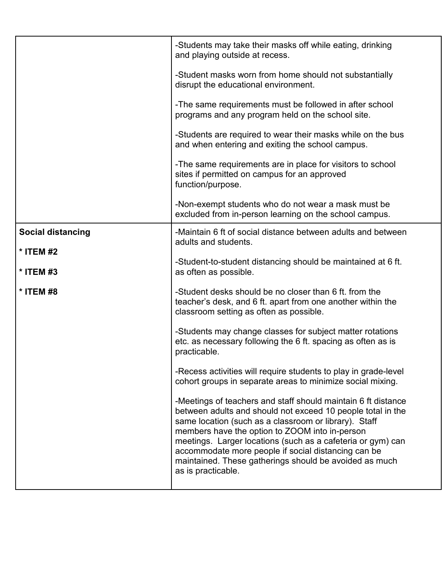|                          | -Students may take their masks off while eating, drinking<br>and playing outside at recess.                                                                                                                                                                                                                                                                                                                                                   |
|--------------------------|-----------------------------------------------------------------------------------------------------------------------------------------------------------------------------------------------------------------------------------------------------------------------------------------------------------------------------------------------------------------------------------------------------------------------------------------------|
|                          | -Student masks worn from home should not substantially<br>disrupt the educational environment.                                                                                                                                                                                                                                                                                                                                                |
|                          | -The same requirements must be followed in after school<br>programs and any program held on the school site.                                                                                                                                                                                                                                                                                                                                  |
|                          | -Students are required to wear their masks while on the bus<br>and when entering and exiting the school campus.                                                                                                                                                                                                                                                                                                                               |
|                          | -The same requirements are in place for visitors to school<br>sites if permitted on campus for an approved<br>function/purpose.                                                                                                                                                                                                                                                                                                               |
|                          | -Non-exempt students who do not wear a mask must be<br>excluded from in-person learning on the school campus.                                                                                                                                                                                                                                                                                                                                 |
| <b>Social distancing</b> | -Maintain 6 ft of social distance between adults and between<br>adults and students.                                                                                                                                                                                                                                                                                                                                                          |
| * ITEM #2<br>* ITEM #3   | -Student-to-student distancing should be maintained at 6 ft.<br>as often as possible.                                                                                                                                                                                                                                                                                                                                                         |
| * ITEM #8                | -Student desks should be no closer than 6 ft. from the<br>teacher's desk, and 6 ft. apart from one another within the<br>classroom setting as often as possible.                                                                                                                                                                                                                                                                              |
|                          | -Students may change classes for subject matter rotations<br>etc. as necessary following the 6 ft. spacing as often as is<br>practicable.                                                                                                                                                                                                                                                                                                     |
|                          | -Recess activities will require students to play in grade-level<br>cohort groups in separate areas to minimize social mixing.                                                                                                                                                                                                                                                                                                                 |
|                          | -Meetings of teachers and staff should maintain 6 ft distance<br>between adults and should not exceed 10 people total in the<br>same location (such as a classroom or library). Staff<br>members have the option to ZOOM into in-person<br>meetings. Larger locations (such as a cafeteria or gym) can<br>accommodate more people if social distancing can be<br>maintained. These gatherings should be avoided as much<br>as is practicable. |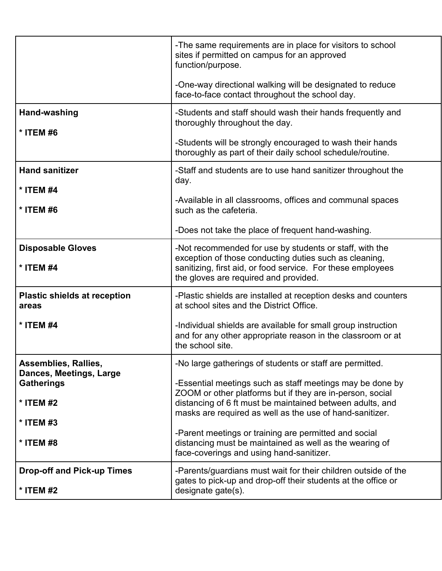|                                              | -The same requirements are in place for visitors to school<br>sites if permitted on campus for an approved<br>function/purpose.                                                                                           |
|----------------------------------------------|---------------------------------------------------------------------------------------------------------------------------------------------------------------------------------------------------------------------------|
|                                              | -One-way directional walking will be designated to reduce<br>face-to-face contact throughout the school day.                                                                                                              |
| Hand-washing                                 | -Students and staff should wash their hands frequently and<br>thoroughly throughout the day.                                                                                                                              |
| * ITEM #6                                    | -Students will be strongly encouraged to wash their hands<br>thoroughly as part of their daily school schedule/routine.                                                                                                   |
| <b>Hand sanitizer</b>                        | -Staff and students are to use hand sanitizer throughout the<br>day.                                                                                                                                                      |
| * ITEM #4<br>* ITEM #6                       | -Available in all classrooms, offices and communal spaces<br>such as the cafeteria.                                                                                                                                       |
|                                              | -Does not take the place of frequent hand-washing.                                                                                                                                                                        |
| <b>Disposable Gloves</b><br>* ITEM #4        | -Not recommended for use by students or staff, with the<br>exception of those conducting duties such as cleaning,<br>sanitizing, first aid, or food service. For these employees<br>the gloves are required and provided. |
| <b>Plastic shields at reception</b><br>areas | -Plastic shields are installed at reception desks and counters<br>at school sites and the District Office.                                                                                                                |
| * ITEM #4                                    | -Individual shields are available for small group instruction<br>and for any other appropriate reason in the classroom or at<br>the school site.                                                                          |
| <b>Assemblies, Rallies,</b>                  | -No large gatherings of students or staff are permitted.                                                                                                                                                                  |
| Dances, Meetings, Large<br><b>Gatherings</b> | -Essential meetings such as staff meetings may be done by                                                                                                                                                                 |
| * ITEM #2                                    | ZOOM or other platforms but if they are in-person, social<br>distancing of 6 ft must be maintained between adults, and                                                                                                    |
| * ITEM #3                                    | masks are required as well as the use of hand-sanitizer.                                                                                                                                                                  |
| * ITEM #8                                    | -Parent meetings or training are permitted and social<br>distancing must be maintained as well as the wearing of<br>face-coverings and using hand-sanitizer.                                                              |
| <b>Drop-off and Pick-up Times</b>            | -Parents/guardians must wait for their children outside of the<br>gates to pick-up and drop-off their students at the office or                                                                                           |
| * ITEM #2                                    | designate gate(s).                                                                                                                                                                                                        |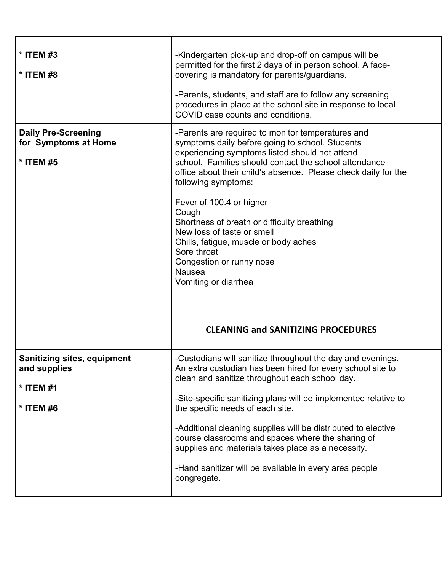| * ITEM #3<br>* ITEM #8                                                       | -Kindergarten pick-up and drop-off on campus will be<br>permitted for the first 2 days of in person school. A face-<br>covering is mandatory for parents/guardians.<br>-Parents, students, and staff are to follow any screening<br>procedures in place at the school site in response to local<br>COVID case counts and conditions.                                                                                                                                                                                                                    |
|------------------------------------------------------------------------------|---------------------------------------------------------------------------------------------------------------------------------------------------------------------------------------------------------------------------------------------------------------------------------------------------------------------------------------------------------------------------------------------------------------------------------------------------------------------------------------------------------------------------------------------------------|
| <b>Daily Pre-Screening</b><br>for Symptoms at Home<br>* ITEM #5              | -Parents are required to monitor temperatures and<br>symptoms daily before going to school. Students<br>experiencing symptoms listed should not attend<br>school. Families should contact the school attendance<br>office about their child's absence. Please check daily for the<br>following symptoms:<br>Fever of 100.4 or higher<br>Cough<br>Shortness of breath or difficulty breathing<br>New loss of taste or smell<br>Chills, fatigue, muscle or body aches<br>Sore throat<br>Congestion or runny nose<br><b>Nausea</b><br>Vomiting or diarrhea |
|                                                                              | <b>CLEANING and SANITIZING PROCEDURES</b>                                                                                                                                                                                                                                                                                                                                                                                                                                                                                                               |
| <b>Sanitizing sites, equipment</b><br>and supplies<br>* ITEM #1<br>* ITEM #6 | -Custodians will sanitize throughout the day and evenings.<br>An extra custodian has been hired for every school site to<br>clean and sanitize throughout each school day.<br>-Site-specific sanitizing plans will be implemented relative to<br>the specific needs of each site.<br>-Additional cleaning supplies will be distributed to elective<br>course classrooms and spaces where the sharing of<br>supplies and materials takes place as a necessity.<br>-Hand sanitizer will be available in every area people<br>congregate.                  |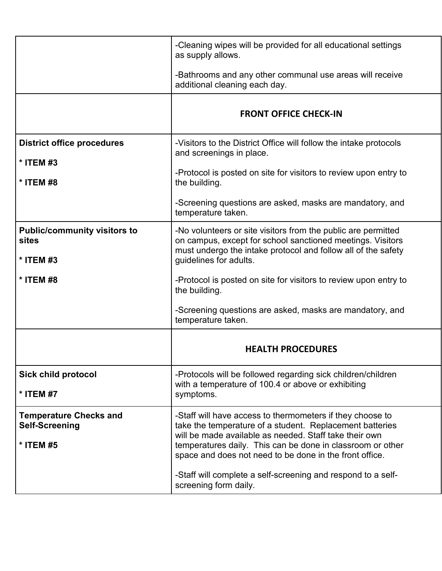|                                                                     | -Cleaning wipes will be provided for all educational settings<br>as supply allows.                                                                                                                                                                                                                       |
|---------------------------------------------------------------------|----------------------------------------------------------------------------------------------------------------------------------------------------------------------------------------------------------------------------------------------------------------------------------------------------------|
|                                                                     | -Bathrooms and any other communal use areas will receive<br>additional cleaning each day.                                                                                                                                                                                                                |
|                                                                     | <b>FRONT OFFICE CHECK-IN</b>                                                                                                                                                                                                                                                                             |
| <b>District office procedures</b>                                   | -Visitors to the District Office will follow the intake protocols<br>and screenings in place.                                                                                                                                                                                                            |
| * ITEM #3<br>* ITEM #8                                              | -Protocol is posted on site for visitors to review upon entry to<br>the building.                                                                                                                                                                                                                        |
|                                                                     | -Screening questions are asked, masks are mandatory, and<br>temperature taken.                                                                                                                                                                                                                           |
| <b>Public/community visitors to</b><br>sites<br>* ITEM #3           | -No volunteers or site visitors from the public are permitted<br>on campus, except for school sanctioned meetings. Visitors<br>must undergo the intake protocol and follow all of the safety<br>guidelines for adults.                                                                                   |
| * ITEM #8                                                           | -Protocol is posted on site for visitors to review upon entry to<br>the building.                                                                                                                                                                                                                        |
|                                                                     | -Screening questions are asked, masks are mandatory, and<br>temperature taken.                                                                                                                                                                                                                           |
|                                                                     | <b>HEALTH PROCEDURES</b>                                                                                                                                                                                                                                                                                 |
| <b>Sick child protocol</b><br>* ITEM #7                             | -Protocols will be followed regarding sick children/children<br>with a temperature of 100.4 or above or exhibiting<br>symptoms.                                                                                                                                                                          |
| <b>Temperature Checks and</b><br><b>Self-Screening</b><br>* ITEM #5 | -Staff will have access to thermometers if they choose to<br>take the temperature of a student. Replacement batteries<br>will be made available as needed. Staff take their own<br>temperatures daily. This can be done in classroom or other<br>space and does not need to be done in the front office. |
|                                                                     | -Staff will complete a self-screening and respond to a self-<br>screening form daily.                                                                                                                                                                                                                    |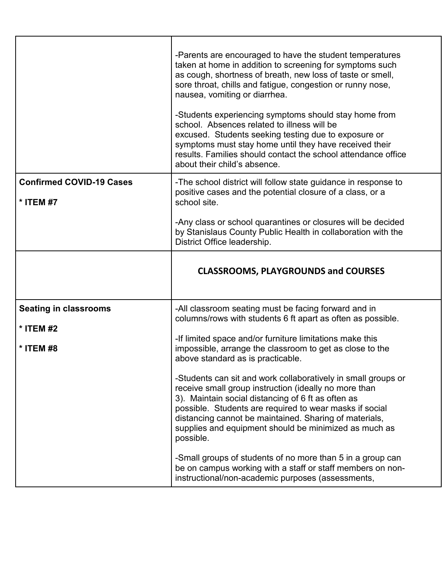|                                              | -Parents are encouraged to have the student temperatures<br>taken at home in addition to screening for symptoms such<br>as cough, shortness of breath, new loss of taste or smell,<br>sore throat, chills and fatigue, congestion or runny nose,<br>nausea, vomiting or diarrhea.<br>-Students experiencing symptoms should stay home from<br>school. Absences related to illness will be<br>excused. Students seeking testing due to exposure or<br>symptoms must stay home until they have received their<br>results. Families should contact the school attendance office<br>about their child's absence. |
|----------------------------------------------|--------------------------------------------------------------------------------------------------------------------------------------------------------------------------------------------------------------------------------------------------------------------------------------------------------------------------------------------------------------------------------------------------------------------------------------------------------------------------------------------------------------------------------------------------------------------------------------------------------------|
| <b>Confirmed COVID-19 Cases</b><br>* ITEM #7 | -The school district will follow state guidance in response to<br>positive cases and the potential closure of a class, or a<br>school site.                                                                                                                                                                                                                                                                                                                                                                                                                                                                  |
|                                              | -Any class or school quarantines or closures will be decided<br>by Stanislaus County Public Health in collaboration with the<br>District Office leadership.                                                                                                                                                                                                                                                                                                                                                                                                                                                  |
|                                              | <b>CLASSROOMS, PLAYGROUNDS and COURSES</b>                                                                                                                                                                                                                                                                                                                                                                                                                                                                                                                                                                   |
| <b>Seating in classrooms</b>                 | -All classroom seating must be facing forward and in                                                                                                                                                                                                                                                                                                                                                                                                                                                                                                                                                         |
|                                              | columns/rows with students 6 ft apart as often as possible.                                                                                                                                                                                                                                                                                                                                                                                                                                                                                                                                                  |
| * ITEM #2<br>* ITEM #8                       | -If limited space and/or furniture limitations make this<br>impossible, arrange the classroom to get as close to the<br>above standard as is practicable                                                                                                                                                                                                                                                                                                                                                                                                                                                     |
|                                              | -Students can sit and work collaboratively in small groups or<br>receive small group instruction (ideally no more than<br>3). Maintain social distancing of 6 ft as often as<br>possible. Students are required to wear masks if social<br>distancing cannot be maintained. Sharing of materials,<br>supplies and equipment should be minimized as much as<br>possible.                                                                                                                                                                                                                                      |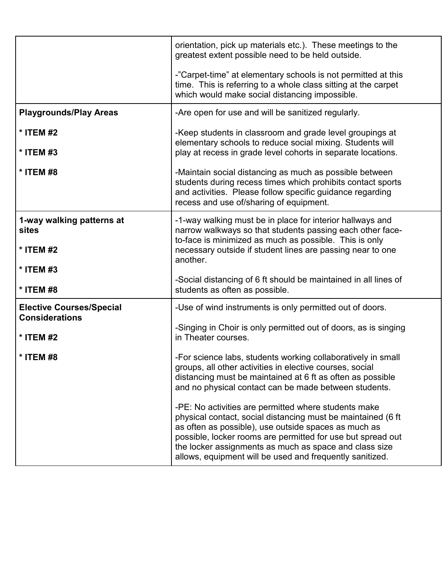|                                                          | orientation, pick up materials etc.). These meetings to the                                                                                                                                                                                                                                                                                                       |
|----------------------------------------------------------|-------------------------------------------------------------------------------------------------------------------------------------------------------------------------------------------------------------------------------------------------------------------------------------------------------------------------------------------------------------------|
|                                                          | greatest extent possible need to be held outside.                                                                                                                                                                                                                                                                                                                 |
|                                                          | -"Carpet-time" at elementary schools is not permitted at this<br>time. This is referring to a whole class sitting at the carpet<br>which would make social distancing impossible.                                                                                                                                                                                 |
| <b>Playgrounds/Play Areas</b>                            | -Are open for use and will be sanitized regularly.                                                                                                                                                                                                                                                                                                                |
| * ITEM #2                                                | -Keep students in classroom and grade level groupings at                                                                                                                                                                                                                                                                                                          |
| * ITEM #3                                                | elementary schools to reduce social mixing. Students will<br>play at recess in grade level cohorts in separate locations.                                                                                                                                                                                                                                         |
| * ITEM #8                                                | -Maintain social distancing as much as possible between<br>students during recess times which prohibits contact sports<br>and activities. Please follow specific guidance regarding<br>recess and use of/sharing of equipment.                                                                                                                                    |
| 1-way walking patterns at<br><b>sites</b>                | -1-way walking must be in place for interior hallways and<br>narrow walkways so that students passing each other face-<br>to-face is minimized as much as possible. This is only                                                                                                                                                                                  |
| * ITEM #2                                                | necessary outside if student lines are passing near to one<br>another.                                                                                                                                                                                                                                                                                            |
| * ITEM #3                                                | -Social distancing of 6 ft should be maintained in all lines of                                                                                                                                                                                                                                                                                                   |
| * ITEM #8                                                | students as often as possible.                                                                                                                                                                                                                                                                                                                                    |
| <b>Elective Courses/Special</b><br><b>Considerations</b> | -Use of wind instruments is only permitted out of doors.                                                                                                                                                                                                                                                                                                          |
| * ITEM #2                                                | -Singing in Choir is only permitted out of doors, as is singing<br>in Theater courses.                                                                                                                                                                                                                                                                            |
| * ITEM #8                                                | -For science labs, students working collaboratively in small<br>groups, all other activities in elective courses, social<br>distancing must be maintained at 6 ft as often as possible<br>and no physical contact can be made between students.                                                                                                                   |
|                                                          | -PE: No activities are permitted where students make<br>physical contact, social distancing must be maintained (6 ft<br>as often as possible), use outside spaces as much as<br>possible, locker rooms are permitted for use but spread out<br>the locker assignments as much as space and class size<br>allows, equipment will be used and frequently sanitized. |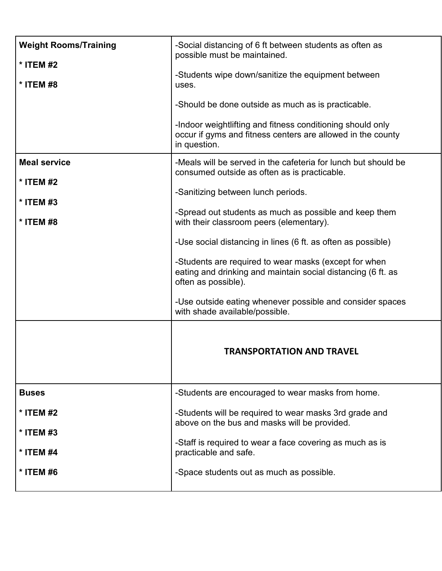| <b>Weight Rooms/Training</b><br>* ITEM #2<br>* ITEM #8<br><b>Meal service</b><br>* ITEM #2<br>* ITEM #3<br>* ITEM #8 | -Social distancing of 6 ft between students as often as<br>possible must be maintained.<br>-Students wipe down/sanitize the equipment between<br>uses.<br>-Should be done outside as much as is practicable.<br>-Indoor weightlifting and fitness conditioning should only<br>occur if gyms and fitness centers are allowed in the county<br>in question.<br>-Meals will be served in the cafeteria for lunch but should be<br>consumed outside as often as is practicable.<br>-Sanitizing between lunch periods.<br>-Spread out students as much as possible and keep them<br>with their classroom peers (elementary).<br>-Use social distancing in lines (6 ft. as often as possible)<br>-Students are required to wear masks (except for when<br>eating and drinking and maintain social distancing (6 ft. as<br>often as possible).<br>-Use outside eating whenever possible and consider spaces |
|----------------------------------------------------------------------------------------------------------------------|------------------------------------------------------------------------------------------------------------------------------------------------------------------------------------------------------------------------------------------------------------------------------------------------------------------------------------------------------------------------------------------------------------------------------------------------------------------------------------------------------------------------------------------------------------------------------------------------------------------------------------------------------------------------------------------------------------------------------------------------------------------------------------------------------------------------------------------------------------------------------------------------------|
| <b>Buses</b><br>* ITEM #2<br>* ITEM #3<br>* ITEM #4                                                                  | with shade available/possible.<br><b>TRANSPORTATION AND TRAVEL</b><br>-Students are encouraged to wear masks from home.<br>-Students will be required to wear masks 3rd grade and<br>above on the bus and masks will be provided.<br>-Staff is required to wear a face covering as much as is<br>practicable and safe.                                                                                                                                                                                                                                                                                                                                                                                                                                                                                                                                                                               |
| * ITEM #6                                                                                                            | -Space students out as much as possible.                                                                                                                                                                                                                                                                                                                                                                                                                                                                                                                                                                                                                                                                                                                                                                                                                                                             |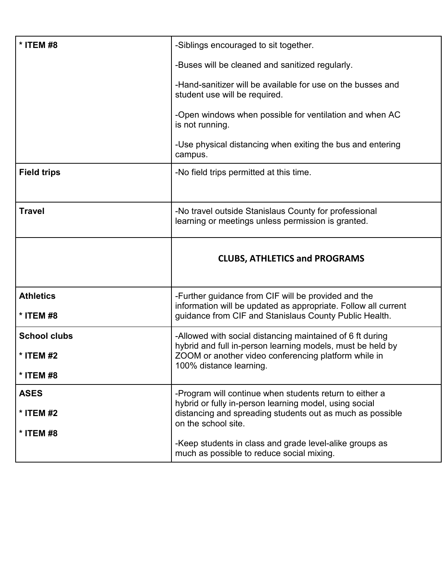| * ITEM #8                                     | -Siblings encouraged to sit together.<br>-Buses will be cleaned and sanitized regularly.<br>-Hand-sanitizer will be available for use on the busses and<br>student use will be required.<br>-Open windows when possible for ventilation and when AC<br>is not running.<br>-Use physical distancing when exiting the bus and entering<br>campus. |
|-----------------------------------------------|-------------------------------------------------------------------------------------------------------------------------------------------------------------------------------------------------------------------------------------------------------------------------------------------------------------------------------------------------|
| <b>Field trips</b>                            | -No field trips permitted at this time.                                                                                                                                                                                                                                                                                                         |
| <b>Travel</b>                                 | -No travel outside Stanislaus County for professional<br>learning or meetings unless permission is granted.                                                                                                                                                                                                                                     |
|                                               | <b>CLUBS, ATHLETICS and PROGRAMS</b>                                                                                                                                                                                                                                                                                                            |
|                                               |                                                                                                                                                                                                                                                                                                                                                 |
| <b>Athletics</b><br>* ITEM #8                 | -Further guidance from CIF will be provided and the<br>information will be updated as appropriate. Follow all current<br>guidance from CIF and Stanislaus County Public Health.                                                                                                                                                                 |
| <b>School clubs</b><br>* ITEM #2<br>* ITEM #8 | -Allowed with social distancing maintained of 6 ft during<br>hybrid and full in-person learning models, must be held by<br>ZOOM or another video conferencing platform while in<br>100% distance learning.                                                                                                                                      |
| <b>ASES</b><br>* ITEM #2<br>* ITEM #8         | -Program will continue when students return to either a<br>hybrid or fully in-person learning model, using social<br>distancing and spreading students out as much as possible<br>on the school site.<br>-Keep students in class and grade level-alike groups as                                                                                |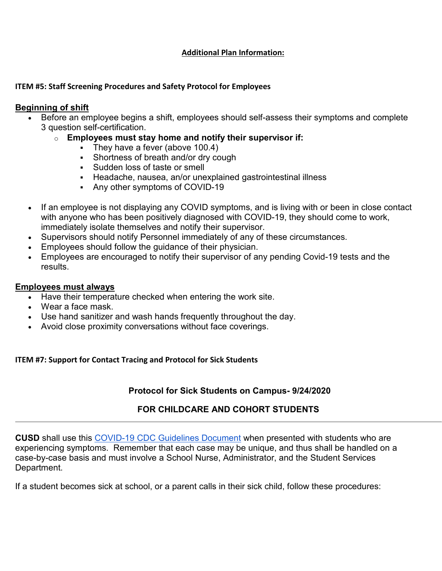### **Additional Plan Information:**

#### **ITEM #5: Staff Screening Procedures and Safety Protocol for Employees**

### **Beginning of shift**

- Before an employee begins a shift, employees should self-assess their symptoms and complete 3 question self-certification.
	- o **Employees must stay home and notify their supervisor if:**
		- $\overline{\phantom{a}}$  They have a fever (above 100.4)
		- Shortness of breath and/or dry cough
		- Sudden loss of taste or smell
		- Headache, nausea, an/or unexplained gastrointestinal illness
		- Any other symptoms of COVID-19
- If an employee is not displaying any COVID symptoms, and is living with or been in close contact with anyone who has been positively diagnosed with COVID-19, they should come to work, immediately isolate themselves and notify their supervisor.
- Supervisors should notify Personnel immediately of any of these circumstances.
- Employees should follow the guidance of their physician.
- Employees are encouraged to notify their supervisor of any pending Covid-19 tests and the results.

### **Employees must always**

- Have their temperature checked when entering the work site.
- Wear a face mask.
- Use hand sanitizer and wash hands frequently throughout the day.
- Avoid close proximity conversations without face coverings.

## **ITEM #7: Support for Contact Tracing and Protocol for Sick Students**

# **Protocol for Sick Students on Campus- 9/24/2020**

# **FOR CHILDCARE AND COHORT STUDENTS**

**CUSD** shall use this [COVID-19 CDC Guidelines Document](https://drive.google.com/file/d/196HmncDQig-r9J80zUnJWxZ5WEgm8ohs/view?usp=sharing) when presented with students who are experiencing symptoms. Remember that each case may be unique, and thus shall be handled on a case-by-case basis and must involve a School Nurse, Administrator, and the Student Services Department.

If a student becomes sick at school, or a parent calls in their sick child, follow these procedures: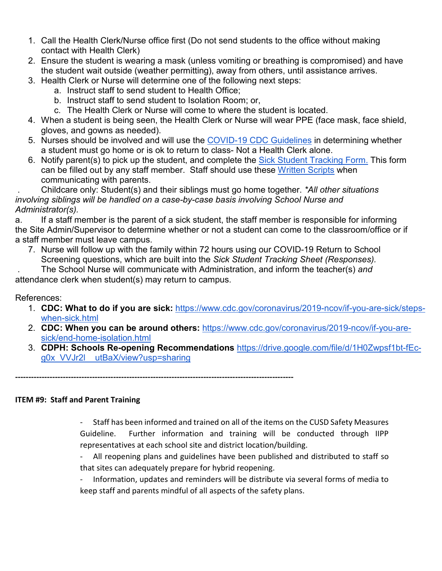- 1. Call the Health Clerk/Nurse office first (Do not send students to the office without making contact with Health Clerk)
- 2. Ensure the student is wearing a mask (unless vomiting or breathing is compromised) and have the student wait outside (weather permitting), away from others, until assistance arrives.
- 3. Health Clerk or Nurse will determine one of the following next steps:
	- a. Instruct staff to send student to Health Office;
	- b. Instruct staff to send student to Isolation Room; or,
	- c. The Health Clerk or Nurse will come to where the student is located.
- 4. When a student is being seen, the Health Clerk or Nurse will wear PPE (face mask, face shield, gloves, and gowns as needed).
- 5. Nurses should be involved and will use the [COVID-19 CDC Guidelines](https://drive.google.com/file/d/196HmncDQig-r9J80zUnJWxZ5WEgm8ohs/view?usp=sharing) in determining whether a student must go home or is ok to return to class- Not a Health Clerk alone.
- 6. Notify parent(s) to pick up the student, and complete the [Sick Student Tracking Form.](https://docs.google.com/forms/d/e/1FAIpQLScfzDe_xqIb8p07YYJgcitFVhJi725JJ_epV6Rj9yUEfAQalQ/viewform) This form can be filled out by any staff member. Staff should use these [Written Scripts](https://docs.google.com/document/d/1M1O1q5vR09FeHY7fy_1FPbqkFgk6_3DieytADcWCNPc/edit?usp=sharing) when communicating with parents.

. Childcare only: Student(s) and their siblings must go home together. *\*All other situations involving siblings will be handled on a case-by-case basis involving School Nurse and Administrator(s).*

a. If a staff member is the parent of a sick student, the staff member is responsible for informing the Site Admin/Supervisor to determine whether or not a student can come to the classroom/office or if a staff member must leave campus.

7. Nurse will follow up with the family within 72 hours using our COVID-19 Return to School Screening questions, which are built into the *Sick Student Tracking Sheet (Responses).*

. The School Nurse will communicate with Administration, and inform the teacher(s) *and*  attendance clerk when student(s) may return to campus.

# References:

- 1. **CDC: What to do if you are sick:** [https://www.cdc.gov/coronavirus/2019-ncov/if-you-are-sick/steps](https://www.cdc.gov/coronavirus/2019-ncov/if-you-are-sick/steps-when-sick.html)[when-sick.html](https://www.cdc.gov/coronavirus/2019-ncov/if-you-are-sick/steps-when-sick.html)
- 2. **CDC: When you can be around others:** [https://www.cdc.gov/coronavirus/2019-ncov/if-you-are](https://www.cdc.gov/coronavirus/2019-ncov/if-you-are-sick/end-home-isolation.html)[sick/end-home-isolation.html](https://www.cdc.gov/coronavirus/2019-ncov/if-you-are-sick/end-home-isolation.html)
- 3. **CDPH: Schools Re-opening Recommendations** [https://drive.google.com/file/d/1H0Zwpsf1bt-fEc](https://drive.google.com/file/d/1H0Zwpsf1bt-fEc-g0x_VVJr2l__utBaX/view?usp=sharing)[g0x\\_VVJr2l\\_\\_utBaX/view?usp=sharing](https://drive.google.com/file/d/1H0Zwpsf1bt-fEc-g0x_VVJr2l__utBaX/view?usp=sharing)

**---------------------------------------------------------------------------------------------------------**

## **ITEM #9: Staff and Parent Training**

- Staff has been informed and trained on all of the items on the CUSD Safety Measures Guideline. Further information and training will be conducted through IIPP representatives at each school site and district location/building.

- All reopening plans and guidelines have been published and distributed to staff so that sites can adequately prepare for hybrid reopening.

Information, updates and reminders will be distribute via several forms of media to keep staff and parents mindful of all aspects of the safety plans.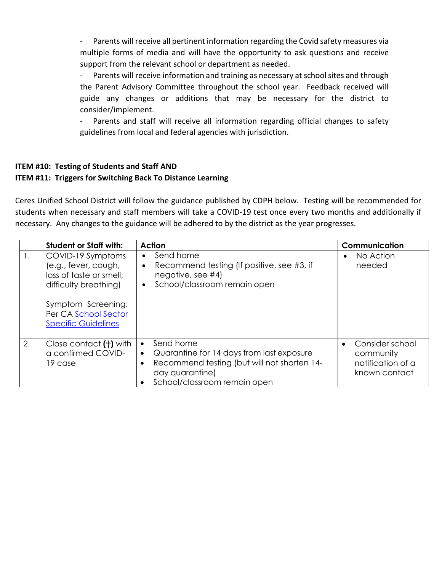- Parents will receive all pertinent information regarding the Covid safety measures via multiple forms of media and will have the opportunity to ask questions and receive support from the relevant school or department as needed.

- Parents will receive information and training as necessary at school sites and through the Parent Advisory Committee throughout the school year. Feedback received will guide any changes or additions that may be necessary for the district to consider/implement.

- Parents and staff will receive all information regarding official changes to safety guidelines from local and federal agencies with jurisdiction.

# **ITEM #10: Testing of Students and Staff AND ITEM #11: Triggers for Switching Back To Distance Learning**

Ceres Unified School District will follow the guidance published by CDPH below. Testing will be recommended for students when necessary and staff members will take a COVID-19 test once every two months and additionally if necessary. Any changes to the guidance will be adhered to by the district as the year progresses.

|    | <b>Student or Staff with:</b>                                                                                                                                             | <b>Action</b>                                                                                                                                                                                        | <b>Communication</b>                                               |
|----|---------------------------------------------------------------------------------------------------------------------------------------------------------------------------|------------------------------------------------------------------------------------------------------------------------------------------------------------------------------------------------------|--------------------------------------------------------------------|
|    | COVID-19 Symptoms<br>(e.g., fever, cough,<br>loss of taste or smell,<br>difficulty breathing)<br>Symptom Screening:<br>Per CA School Sector<br><b>Specific Guidelines</b> | Send home<br>$\bullet$<br>Recommend testing (If positive, see #3, if<br>negative, see $#4$ )<br>School/classroom remain open<br>$\bullet$                                                            | No Action<br>$\bullet$<br>needed                                   |
| 2. | Close contact (†) with<br>a confirmed COVID-<br>19 case                                                                                                                   | Send home<br>$\bullet$<br>Quarantine for 14 days from last exposure<br>$\bullet$<br>Recommend testing (but will not shorten 14-<br>٠<br>day quarantine)<br>School/classroom remain open<br>$\bullet$ | Consider school<br>community<br>notification of a<br>known contact |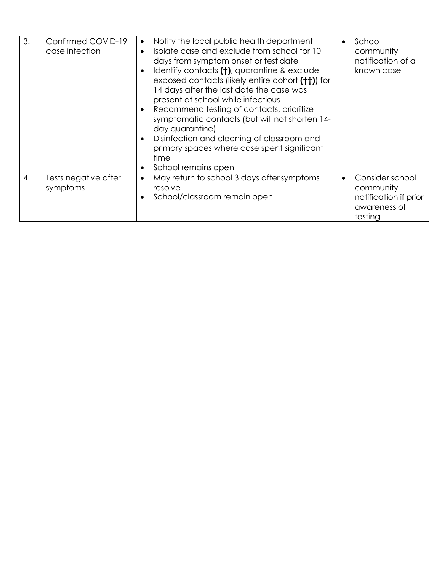| $\mathcal{S}$ . | Confirmed COVID-19<br>case infection | Notify the local public health department<br>٠<br>Isolate case and exclude from school for 10<br>$\bullet$<br>days from symptom onset or test date<br>Identify contacts (†), quarantine & exclude<br>$\bullet$<br>exposed contacts (likely entire cohort (++)) for<br>14 days after the last date the case was<br>present at school while infectious<br>Recommend testing of contacts, prioritize<br>symptomatic contacts (but will not shorten 14-<br>day quarantine)<br>Disinfection and cleaning of classroom and<br>$\bullet$<br>primary spaces where case spent significant<br>time<br>School remains open<br>٠ | School<br>community<br>notification of a<br>known case                           |
|-----------------|--------------------------------------|----------------------------------------------------------------------------------------------------------------------------------------------------------------------------------------------------------------------------------------------------------------------------------------------------------------------------------------------------------------------------------------------------------------------------------------------------------------------------------------------------------------------------------------------------------------------------------------------------------------------|----------------------------------------------------------------------------------|
| 4.              | Tests negative after<br>symptoms     | May return to school 3 days after symptoms<br>$\bullet$<br>resolve<br>School/classroom remain open                                                                                                                                                                                                                                                                                                                                                                                                                                                                                                                   | Consider school<br>community<br>notification if prior<br>awareness of<br>testing |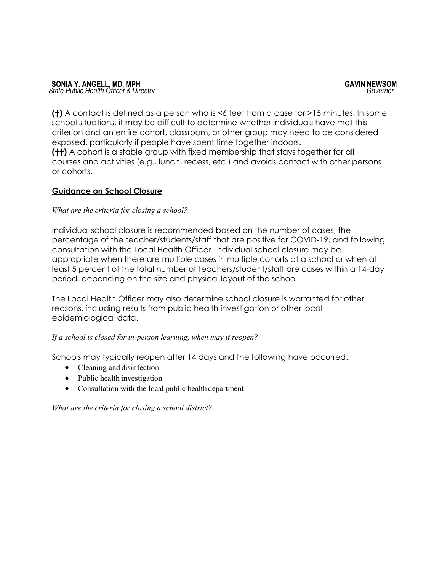**(†)** A contact is defined as a person who is <6 feet from a case for >15 minutes. In some school situations, it may be difficult to determine whether individuals have met this criterion and an entire cohort, classroom, or other group may need to be considered exposed, particularly if people have spent time together indoors.

**(††)** A cohort is a stable group with fixed membership that stays together for all courses and activities (e.g., lunch, recess, etc.) and avoids contact with other persons or cohorts.

## **Guidance on School Closure**

## *What are the criteria for closing a school?*

Individual school closure is recommended based on the number of cases, the percentage of the teacher/students/staff that are positive for COVID-19, and following consultation with the Local Health Officer. Individual school closure may be appropriate when there are multiple cases in multiple cohorts at a school or when at least 5 percent of the total number of teachers/student/staff are cases within a 14-day period, depending on the size and physical layout of the school.

The Local Health Officer may also determine school closure is warranted for other reasons, including results from public health investigation or other local epidemiological data.

## *If a school is closed for in-person learning, when may it reopen?*

Schools may typically reopen after 14 days and the following have occurred:

- Cleaning and disinfection
- Public health investigation
- Consultation with the local public health department

*What are the criteria for closing a school district?*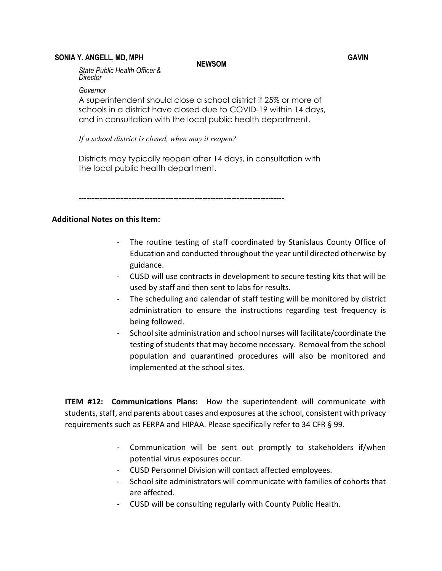#### **SONIA Y. ANGELL, MD, MPH GAVIN**

**NEWSOM**

*State Public Health Officer & Director*

#### *Governor*

A superintendent should close a school district if 25% or more of schools in a district have closed due to COVID-19 within 14 days, and in consultation with the local public health department.

*If a school district is closed, when may it reopen?*

Districts may typically reopen after 14 days, in consultation with the local public health department.

------------------------------------------------------------------------------

#### **Additional Notes on this Item:**

- The routine testing of staff coordinated by Stanislaus County Office of Education and conducted throughout the year until directed otherwise by guidance.
- CUSD will use contracts in development to secure testing kits that will be used by staff and then sent to labs for results.
- The scheduling and calendar of staff testing will be monitored by district administration to ensure the instructions regarding test frequency is being followed.
- School site administration and school nurses will facilitate/coordinate the testing of students that may become necessary. Removal from the school population and quarantined procedures will also be monitored and implemented at the school sites.

**ITEM #12: Communications Plans:** How the superintendent will communicate with students, staff, and parents about cases and exposures at the school, consistent with privacy requirements such as FERPA and HIPAA. Please specifically refer to 34 CFR § 99.

- Communication will be sent out promptly to stakeholders if/when potential virus exposures occur.
- CUSD Personnel Division will contact affected employees.
- School site administrators will communicate with families of cohorts that are affected.
- CUSD will be consulting regularly with County Public Health.